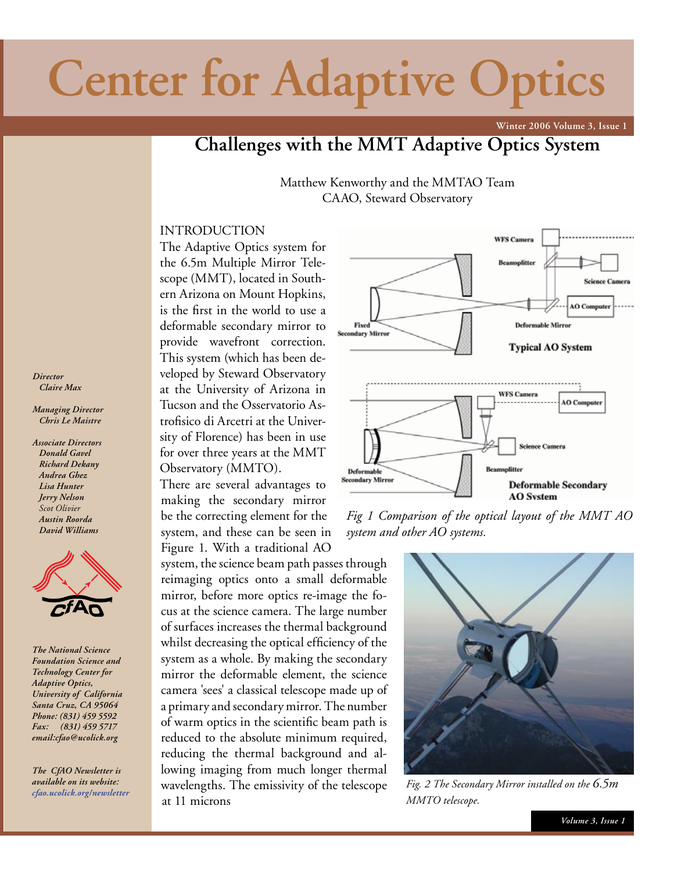## **Center for Adaptive Optics**

**Winter 2006 Volume 3, Issue 1**

## **Challenges with the MMT Adaptive Optics System**

Matthew Kenworthy and the MMTAO Team CAAO, Steward Observatory

#### INTRODUCTION

The Adaptive Optics system for the 6.5m Multiple Mirror Telescope (MMT), located in Southern Arizona on Mount Hopkins, is the first in the world to use a deformable secondary mirror to provide wavefront correction. This system (which has been developed by Steward Observatory at the University of Arizona in Tucson and the Osservatorio Astrofisico di Arcetri at the University of Florence) has been in use for over three years at the MMT Observatory (MMTO).

There are several advantages to making the secondary mirror be the correcting element for the system, and these can be seen in Figure 1. With a traditional AO

system, the science beam path passes through reimaging optics onto a small deformable mirror, before more optics re-image the focus at the science camera. The large number of surfaces increases the thermal background whilst decreasing the optical efficiency of the system as a whole. By making the secondary mirror the deformable element, the science camera 'sees' a classical telescope made up of a primary and secondary mirror. The number of warm optics in the scientific beam path is reduced to the absolute minimum required, reducing the thermal background and allowing imaging from much longer thermal wavelengths. The emissivity of the telescope at 11 microns



*Fig 1 Comparison of the optical layout of the MMT AO system and other AO systems.*



*Fig. 2 The Secondary Mirror installed on the 6.5m MMTO telescope.*

#### *Director Claire Max*

*Managing Director Chris Le Maistre*

*Associate Directors Donald Gavel Richard Dekany Andrea Ghez Lisa Hunter Jerry Nelson Scot Olivier Austin Roorda David Williams*



*The National Science Foundation Science and Technology Center for Adaptive Optics, University of California Santa Cruz, CA 95064 Phone: (831) 459 5592 Fax: (831) 459 5717 email:cfao@ucolick.org*

*The CfAO Newsletter is available on its website: cfao.ucolick.org/newsletter*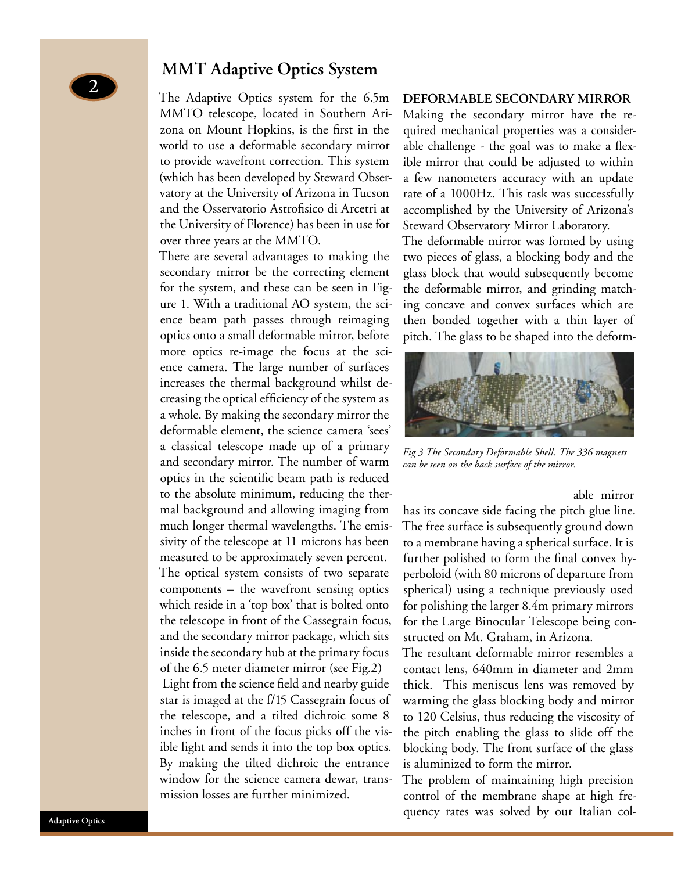## **MMT Adaptive Optics System**

The Adaptive Optics system for the 6.5m MMTO telescope, located in Southern Arizona on Mount Hopkins, is the first in the world to use a deformable secondary mirror to provide wavefront correction. This system (which has been developed by Steward Observatory at the University of Arizona in Tucson and the Osservatorio Astrofisico di Arcetri at the University of Florence) has been in use for over three years at the MMTO.

There are several advantages to making the secondary mirror be the correcting element for the system, and these can be seen in Figure 1. With a traditional AO system, the science beam path passes through reimaging optics onto a small deformable mirror, before more optics re-image the focus at the science camera. The large number of surfaces increases the thermal background whilst decreasing the optical efficiency of the system as a whole. By making the secondary mirror the deformable element, the science camera 'sees' a classical telescope made up of a primary and secondary mirror. The number of warm optics in the scientific beam path is reduced to the absolute minimum, reducing the thermal background and allowing imaging from much longer thermal wavelengths. The emissivity of the telescope at 11 microns has been measured to be approximately seven percent. The optical system consists of two separate components – the wavefront sensing optics which reside in a 'top box' that is bolted onto the telescope in front of the Cassegrain focus, and the secondary mirror package, which sits inside the secondary hub at the primary focus of the 6.5 meter diameter mirror (see Fig.2) Light from the science field and nearby guide star is imaged at the f/15 Cassegrain focus of the telescope, and a tilted dichroic some 8 inches in front of the focus picks off the visible light and sends it into the top box optics. By making the tilted dichroic the entrance window for the science camera dewar, transmission losses are further minimized.

#### **DEFORMABLE SECONDARY MIRROR**

Making the secondary mirror have the required mechanical properties was a considerable challenge - the goal was to make a flexible mirror that could be adjusted to within a few nanometers accuracy with an update rate of a 1000Hz. This task was successfully accomplished by the University of Arizona's Steward Observatory Mirror Laboratory.

The deformable mirror was formed by using two pieces of glass, a blocking body and the glass block that would subsequently become the deformable mirror, and grinding matching concave and convex surfaces which are then bonded together with a thin layer of pitch. The glass to be shaped into the deform-



*Fig 3 The Secondary Deformable Shell. The 336 magnets can be seen on the back surface of the mirror.*

able mirror

has its concave side facing the pitch glue line. The free surface is subsequently ground down to a membrane having a spherical surface. It is further polished to form the final convex hyperboloid (with 80 microns of departure from spherical) using a technique previously used for polishing the larger 8.4m primary mirrors for the Large Binocular Telescope being constructed on Mt. Graham, in Arizona.

The resultant deformable mirror resembles a contact lens, 640mm in diameter and 2mm thick. This meniscus lens was removed by warming the glass blocking body and mirror to 120 Celsius, thus reducing the viscosity of the pitch enabling the glass to slide off the blocking body. The front surface of the glass is aluminized to form the mirror.

The problem of maintaining high precision control of the membrane shape at high frequency rates was solved by our Italian col-

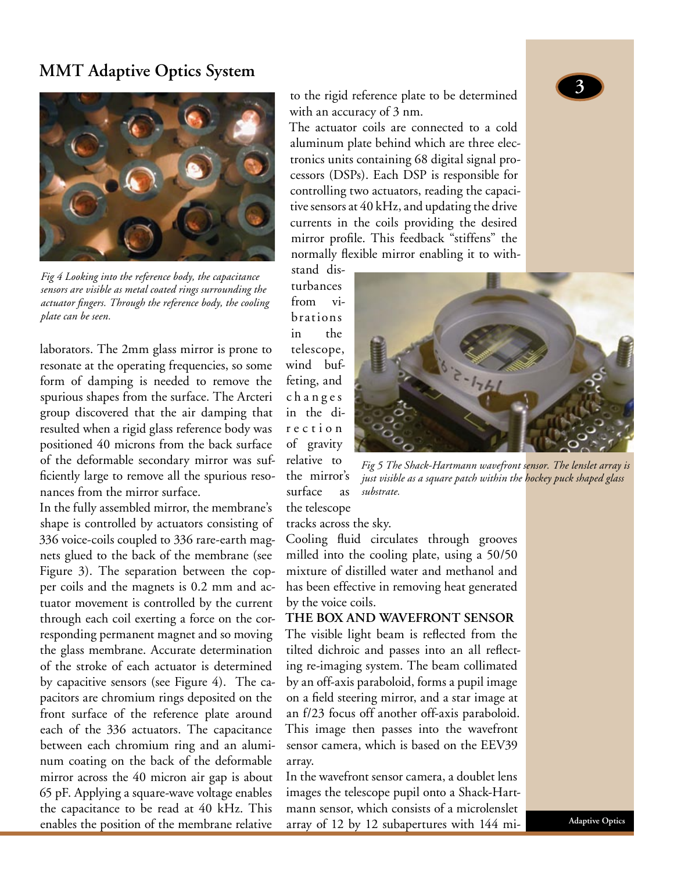## **MMT Adaptive Optics System**



*Fig 4 Looking into the reference body, the capacitance sensors are visible as metal coated rings surrounding the actuator fingers. Through the reference body, the cooling plate can be seen.*

laborators. The 2mm glass mirror is prone to resonate at the operating frequencies, so some form of damping is needed to remove the spurious shapes from the surface. The Arcteri group discovered that the air damping that resulted when a rigid glass reference body was positioned 40 microns from the back surface of the deformable secondary mirror was sufficiently large to remove all the spurious resonances from the mirror surface.

In the fully assembled mirror, the membrane's shape is controlled by actuators consisting of 336 voice-coils coupled to 336 rare-earth magnets glued to the back of the membrane (see Figure 3). The separation between the copper coils and the magnets is 0.2 mm and actuator movement is controlled by the current through each coil exerting a force on the corresponding permanent magnet and so moving the glass membrane. Accurate determination of the stroke of each actuator is determined by capacitive sensors (see Figure 4). The capacitors are chromium rings deposited on the front surface of the reference plate around each of the 336 actuators. The capacitance between each chromium ring and an aluminum coating on the back of the deformable mirror across the 40 micron air gap is about 65 pF. Applying a square-wave voltage enables the capacitance to be read at 40 kHz. This enables the position of the membrane relative

to the rigid reference plate to be determined with an accuracy of 3 nm.

The actuator coils are connected to a cold aluminum plate behind which are three electronics units containing 68 digital signal processors (DSPs). Each DSP is responsible for controlling two actuators, reading the capacitive sensors at 40 kHz, and updating the drive currents in the coils providing the desired mirror profile. This feedback "stiffens" the normally flexible mirror enabling it to with-

stand disturbances from vibrations in the telescope, wind buffeting, and c h a n g e s in the dir e c t i o n of gravity relative to the mirror's surface as the telescope



*Fig 5 The Shack-Hartmann wavefront sensor. The lenslet array is just visible as a square patch within the hockey puck shaped glass substrate.*

tracks across the sky.

Cooling fluid circulates through grooves milled into the cooling plate, using a 50/50 mixture of distilled water and methanol and has been effective in removing heat generated by the voice coils.

**THE BOX AND WAVEFRONT SENSOR**

The visible light beam is reflected from the tilted dichroic and passes into an all reflecting re-imaging system. The beam collimated by an off-axis paraboloid, forms a pupil image on a field steering mirror, and a star image at an f/23 focus off another off-axis paraboloid. This image then passes into the wavefront sensor camera, which is based on the EEV39 array.

In the wavefront sensor camera, a doublet lens images the telescope pupil onto a Shack-Hartmann sensor, which consists of a microlenslet array of 12 by 12 subapertures with 144 mi-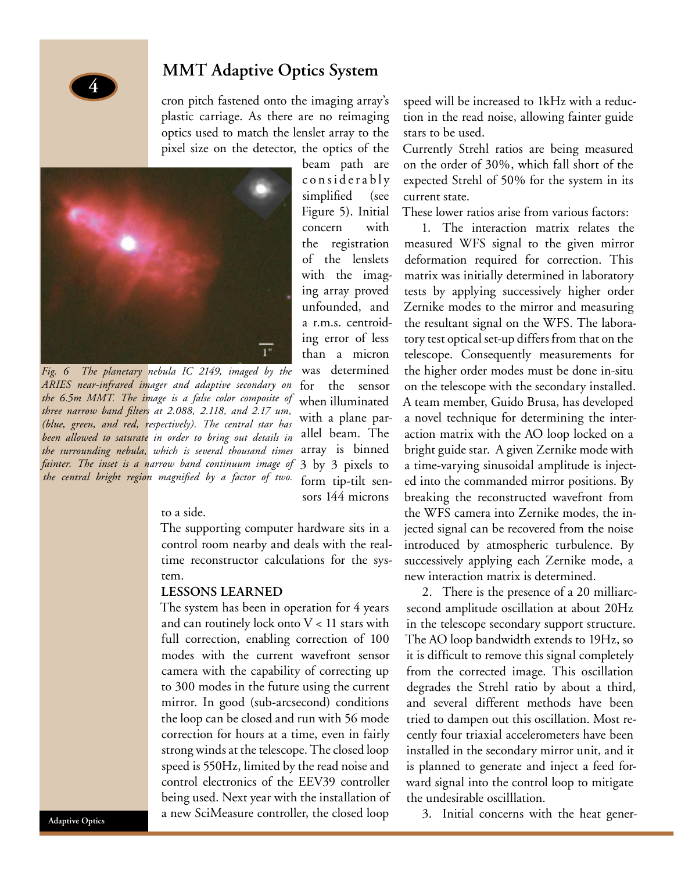

cron pitch fastened onto the imaging array's plastic carriage. As there are no reimaging optics used to match the lenslet array to the pixel size on the detector, the optics of the



*Fig. 6 The planetary nebula IC 2149, imaged by the ARIES near-infrared imager and adaptive secondary on the 6.5m MMT. The image is a false color composite of three narrow band filters at 2.088, 2.118, and 2.17 um, (blue, green, and red, respectively). The central star has been allowed to saturate in order to bring out details in the surrounding nebula, which is several thousand times fainter. The inset is a narrow band continuum image of the central bright region magnified by a factor of two.*

beam path are c o n s i d e r a b l y simplified (see Figure 5). Initial concern with the registration of the lenslets with the imaging array proved unfounded, and a r.m.s. centroiding error of less than a micron was determined for the sensor when illuminated with a plane parallel beam. The array is binned 3 by 3 pixels to form tip-tilt sensors 144 microns

#### to a side.

The supporting computer hardware sits in a control room nearby and deals with the realtime reconstructor calculations for the system.

#### **LESSONS LEARNED**

The system has been in operation for 4 years and can routinely lock onto  $V < 11$  stars with full correction, enabling correction of 100 modes with the current wavefront sensor camera with the capability of correcting up to 300 modes in the future using the current mirror. In good (sub-arcsecond) conditions the loop can be closed and run with 56 mode correction for hours at a time, even in fairly strong winds at the telescope. The closed loop speed is 550Hz, limited by the read noise and control electronics of the EEV39 controller being used. Next year with the installation of a new SciMeasure controller, the closed loop

speed will be increased to 1kHz with a reduction in the read noise, allowing fainter guide stars to be used.

Currently Strehl ratios are being measured on the order of 30%, which fall short of the expected Strehl of 50% for the system in its current state.

These lower ratios arise from various factors:

1. The interaction matrix relates the measured WFS signal to the given mirror deformation required for correction. This matrix was initially determined in laboratory tests by applying successively higher order Zernike modes to the mirror and measuring the resultant signal on the WFS. The laboratory test optical set-up differs from that on the telescope. Consequently measurements for the higher order modes must be done in-situ on the telescope with the secondary installed. A team member, Guido Brusa, has developed a novel technique for determining the interaction matrix with the AO loop locked on a bright guide star. A given Zernike mode with a time-varying sinusoidal amplitude is injected into the commanded mirror positions. By breaking the reconstructed wavefront from the WFS camera into Zernike modes, the injected signal can be recovered from the noise introduced by atmospheric turbulence. By successively applying each Zernike mode, a new interaction matrix is determined.

2. There is the presence of a 20 milliarcsecond amplitude oscillation at about 20Hz in the telescope secondary support structure. The AO loop bandwidth extends to 19Hz, so it is difficult to remove this signal completely from the corrected image. This oscillation degrades the Strehl ratio by about a third, and several different methods have been tried to dampen out this oscillation. Most recently four triaxial accelerometers have been installed in the secondary mirror unit, and it is planned to generate and inject a feed forward signal into the control loop to mitigate the undesirable oscilllation.

3. Initial concerns with the heat gener-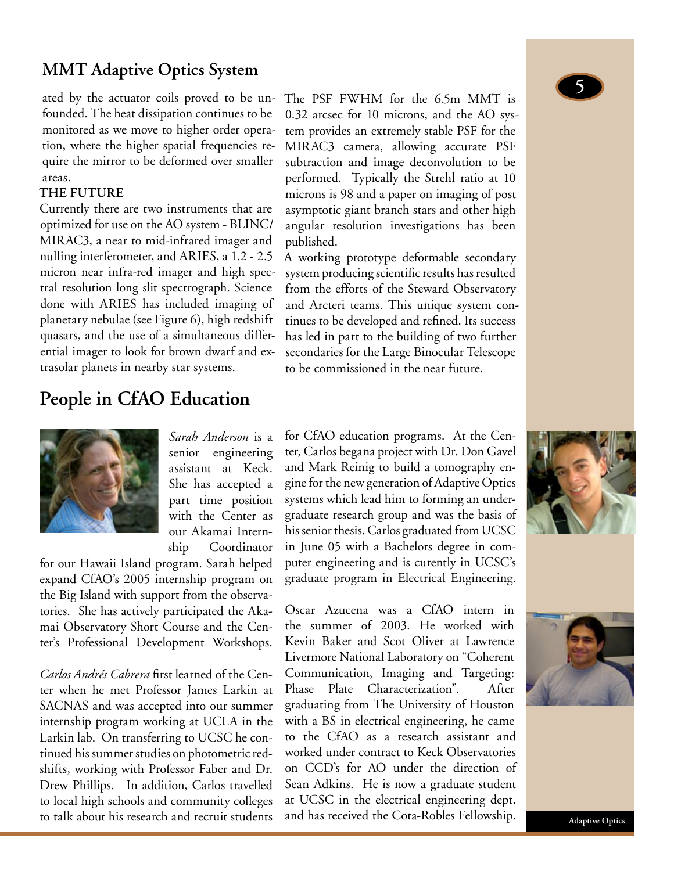## **MMT Adaptive Optics System**

ated by the actuator coils proved to be unfounded. The heat dissipation continues to be monitored as we move to higher order operation, where the higher spatial frequencies require the mirror to be deformed over smaller areas.

#### **THE FUTURE**

Currently there are two instruments that are optimized for use on the AO system - BLINC/ MIRAC3, a near to mid-infrared imager and nulling interferometer, and ARIES, a 1.2 - 2.5 micron near infra-red imager and high spectral resolution long slit spectrograph. Science done with ARIES has included imaging of planetary nebulae (see Figure 6), high redshift quasars, and the use of a simultaneous differential imager to look for brown dwarf and extrasolar planets in nearby star systems.

## **People in CfAO Education**

The PSF FWHM for the 6.5m MMT is 0.32 arcsec for 10 microns, and the AO system provides an extremely stable PSF for the MIRAC3 camera, allowing accurate PSF subtraction and image deconvolution to be performed. Typically the Strehl ratio at 10 microns is 98 and a paper on imaging of post asymptotic giant branch stars and other high angular resolution investigations has been published.

A working prototype deformable secondary system producing scientific results has resulted from the efforts of the Steward Observatory and Arcteri teams. This unique system continues to be developed and refined. Its success has led in part to the building of two further secondaries for the Large Binocular Telescope to be commissioned in the near future.



*Sarah Anderson* is a senior engineering assistant at Keck. She has accepted a part time position with the Center as our Akamai Internship Coordinator

for our Hawaii Island program. Sarah helped expand CfAO's 2005 internship program on the Big Island with support from the observatories. She has actively participated the Akamai Observatory Short Course and the Center's Professional Development Workshops.

*Carlos Andrés Cabrera* first learned of the Center when he met Professor James Larkin at SACNAS and was accepted into our summer internship program working at UCLA in the Larkin lab. On transferring to UCSC he continued his summer studies on photometric redshifts, working with Professor Faber and Dr. Drew Phillips. In addition, Carlos travelled to local high schools and community colleges to talk about his research and recruit students

for CfAO education programs. At the Center, Carlos begana project with Dr. Don Gavel and Mark Reinig to build a tomography engine for the new generation of Adaptive Optics systems which lead him to forming an undergraduate research group and was the basis of his senior thesis. Carlos graduated from UCSC in June 05 with a Bachelors degree in computer engineering and is curently in UCSC's graduate program in Electrical Engineering.

Oscar Azucena was a CfAO intern in the summer of 2003. He worked with Kevin Baker and Scot Oliver at Lawrence Livermore National Laboratory on "Coherent Communication, Imaging and Targeting: Phase Plate Characterization". After graduating from The University of Houston with a BS in electrical engineering, he came to the CfAO as a research assistant and worked under contract to Keck Observatories on CCD's for AO under the direction of Sean Adkins. He is now a graduate student at UCSC in the electrical engineering dept. and has received the Cota-Robles Fellowship.



5

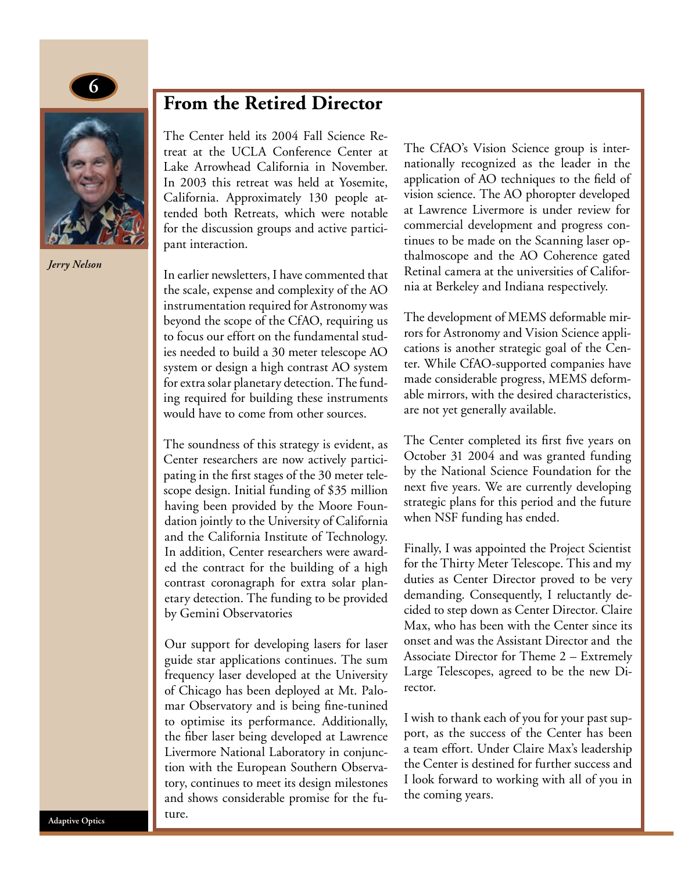



*Jerry Nelson*

## **From the Retired Director**

The Center held its 2004 Fall Science Retreat at the UCLA Conference Center at Lake Arrowhead California in November. In 2003 this retreat was held at Yosemite, California. Approximately 130 people attended both Retreats, which were notable for the discussion groups and active participant interaction.

In earlier newsletters, I have commented that the scale, expense and complexity of the AO instrumentation required for Astronomy was beyond the scope of the CfAO, requiring us to focus our effort on the fundamental studies needed to build a 30 meter telescope AO system or design a high contrast AO system for extra solar planetary detection. The funding required for building these instruments would have to come from other sources.

The soundness of this strategy is evident, as Center researchers are now actively participating in the first stages of the 30 meter telescope design. Initial funding of \$35 million having been provided by the Moore Foundation jointly to the University of California and the California Institute of Technology. In addition, Center researchers were awarded the contract for the building of a high contrast coronagraph for extra solar planetary detection. The funding to be provided by Gemini Observatories

Our support for developing lasers for laser guide star applications continues. The sum frequency laser developed at the University of Chicago has been deployed at Mt. Palomar Observatory and is being fine-tunined to optimise its performance. Additionally, the fiber laser being developed at Lawrence Livermore National Laboratory in conjunction with the European Southern Observatory, continues to meet its design milestones and shows considerable promise for the future.

The CfAO's Vision Science group is internationally recognized as the leader in the application of AO techniques to the field of vision science. The AO phoropter developed at Lawrence Livermore is under review for commercial development and progress continues to be made on the Scanning laser opthalmoscope and the AO Coherence gated Retinal camera at the universities of California at Berkeley and Indiana respectively.

The development of MEMS deformable mirrors for Astronomy and Vision Science applications is another strategic goal of the Center. While CfAO-supported companies have made considerable progress, MEMS deformable mirrors, with the desired characteristics, are not yet generally available.

The Center completed its first five years on October 31 2004 and was granted funding by the National Science Foundation for the next five years. We are currently developing strategic plans for this period and the future when NSF funding has ended.

Finally, I was appointed the Project Scientist for the Thirty Meter Telescope. This and my duties as Center Director proved to be very demanding. Consequently, I reluctantly decided to step down as Center Director. Claire Max, who has been with the Center since its onset and was the Assistant Director and the Associate Director for Theme 2 – Extremely Large Telescopes, agreed to be the new Director.

I wish to thank each of you for your past support, as the success of the Center has been a team effort. Under Claire Max's leadership the Center is destined for further success and I look forward to working with all of you in the coming years.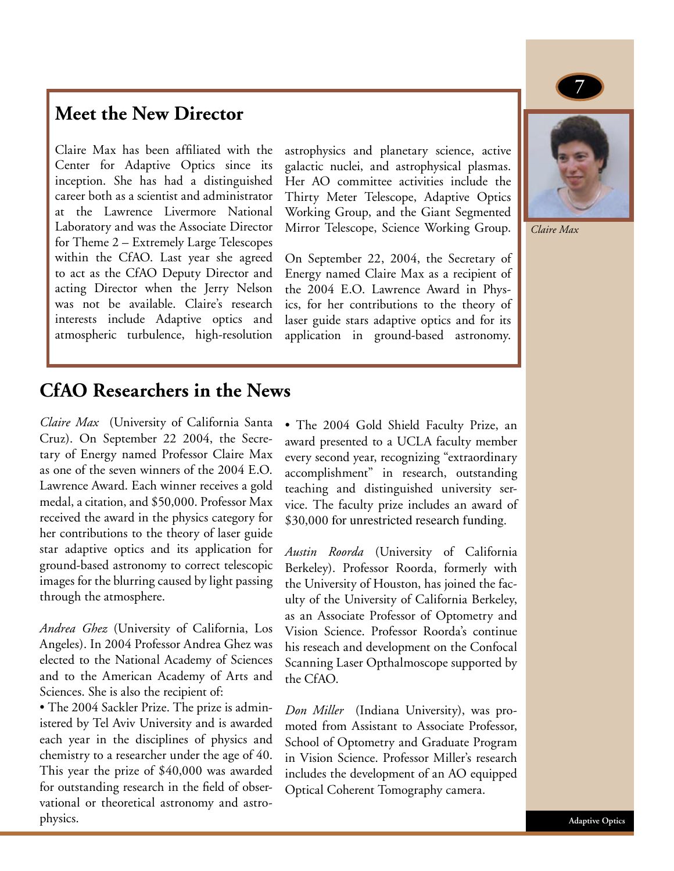## **Meet the New Director**

Claire Max has been affiliated with the Center for Adaptive Optics since its inception. She has had a distinguished career both as a scientist and administrator at the Lawrence Livermore National Laboratory and was the Associate Director for Theme 2 – Extremely Large Telescopes within the CfAO. Last year she agreed to act as the CfAO Deputy Director and acting Director when the Jerry Nelson was not be available. Claire's research interests include Adaptive optics and atmospheric turbulence, high-resolution

astrophysics and planetary science, active galactic nuclei, and astrophysical plasmas. Her AO committee activities include the Thirty Meter Telescope, Adaptive Optics Working Group, and the Giant Segmented Mirror Telescope, Science Working Group.

On September 22, 2004, the Secretary of Energy named Claire Max as a recipient of the 2004 E.O. Lawrence Award in Physics, for her contributions to the theory of laser guide stars adaptive optics and for its application in ground-based astronomy.



7

*Claire Max*

## **CfAO Researchers in the News**

*Claire Max* (University of California Santa Cruz). On September 22 2004, the Secretary of Energy named Professor Claire Max as one of the seven winners of the 2004 E.O. Lawrence Award. Each winner receives a gold medal, a citation, and \$50,000. Professor Max received the award in the physics category for her contributions to the theory of laser guide star adaptive optics and its application for ground-based astronomy to correct telescopic images for the blurring caused by light passing through the atmosphere.

*Andrea Ghez* (University of California, Los Angeles). In 2004 Professor Andrea Ghez was elected to the National Academy of Sciences and to the American Academy of Arts and Sciences. She is also the recipient of:

• The 2004 Sackler Prize. The prize is administered by Tel Aviv University and is awarded each year in the disciplines of physics and chemistry to a researcher under the age of 40. This year the prize of \$40,000 was awarded for outstanding research in the field of observational or theoretical astronomy and astrophysics.

• The 2004 Gold Shield Faculty Prize, an award presented to a UCLA faculty member every second year, recognizing "extraordinary accomplishment" in research, outstanding teaching and distinguished university service. The faculty prize includes an award of \$30,000 for unrestricted research funding.

*Austin Roorda* (University of California Berkeley). Professor Roorda, formerly with the University of Houston, has joined the faculty of the University of California Berkeley, as an Associate Professor of Optometry and Vision Science. Professor Roorda's continue his reseach and development on the Confocal Scanning Laser Opthalmoscope supported by the CfAO.

*Don Miller* (Indiana University), was promoted from Assistant to Associate Professor, School of Optometry and Graduate Program in Vision Science. Professor Miller's research includes the development of an AO equipped Optical Coherent Tomography camera.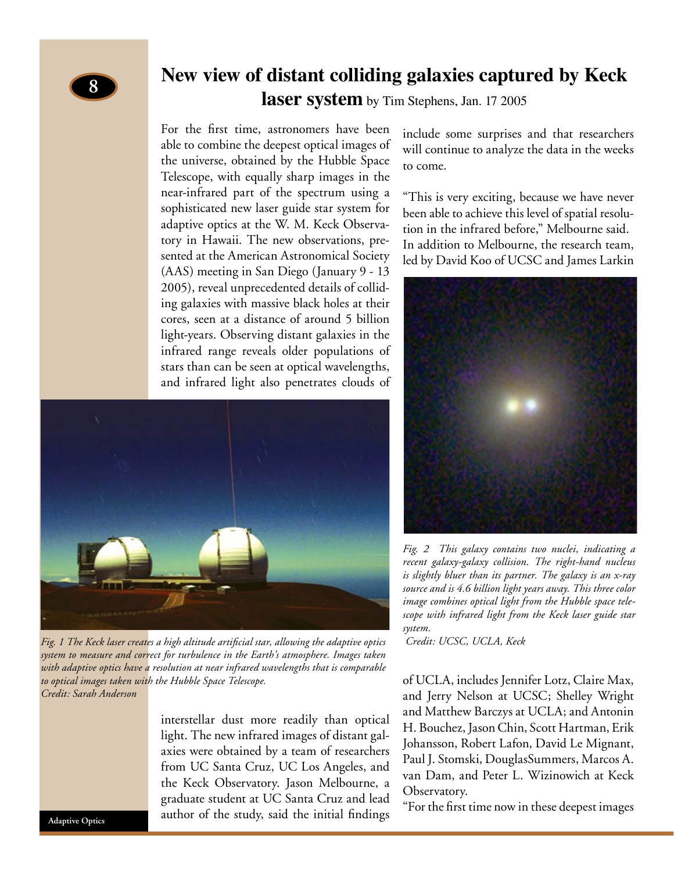## **New view of distant colliding galaxies captured by Keck laser system** by Tim Stephens, Jan. 17 2005

For the first time, astronomers have been able to combine the deepest optical images of the universe, obtained by the Hubble Space Telescope, with equally sharp images in the near-infrared part of the spectrum using a sophisticated new laser guide star system for adaptive optics at the W. M. Keck Observatory in Hawaii. The new observations, presented at the American Astronomical Society (AAS) meeting in San Diego (January 9 - 13 2005), reveal unprecedented details of colliding galaxies with massive black holes at their cores, seen at a distance of around 5 billion light-years. Observing distant galaxies in the infrared range reveals older populations of stars than can be seen at optical wavelengths, and infrared light also penetrates clouds of



*Fig. 1 The Keck laser creates a high altitude artificial star, allowing the adaptive optics Credit: UCSC, UCLA, Keck system to measure and correct for turbulence in the Earth's atmosphere. Images taken with adaptive optics have a resolution at near infrared wavelengths that is comparable to optical images taken with the Hubble Space Telescope. Credit: Sarah Anderson*

interstellar dust more readily than optical light. The new infrared images of distant galaxies were obtained by a team of researchers from UC Santa Cruz, UC Los Angeles, and the Keck Observatory. Jason Melbourne, a graduate student at UC Santa Cruz and lead author of the study, said the initial findings include some surprises and that researchers will continue to analyze the data in the weeks to come.

"This is very exciting, because we have never been able to achieve this level of spatial resolution in the infrared before," Melbourne said. In addition to Melbourne, the research team, led by David Koo of UCSC and James Larkin



*Fig. 2 This galaxy contains two nuclei, indicating a recent galaxy-galaxy collision. The right-hand nucleus is slightly bluer than its partner. The galaxy is an x-ray source and is 4.6 billion light years away. This three color image combines optical light from the Hubble space telescope with infrared light from the Keck laser guide star system.* 

of UCLA, includes Jennifer Lotz, Claire Max, and Jerry Nelson at UCSC; Shelley Wright and Matthew Barczys at UCLA; and Antonin H. Bouchez, Jason Chin, Scott Hartman, Erik Johansson, Robert Lafon, David Le Mignant, Paul J. Stomski, DouglasSummers, Marcos A. van Dam, and Peter L. Wizinowich at Keck Observatory.

"For the first time now in these deepest images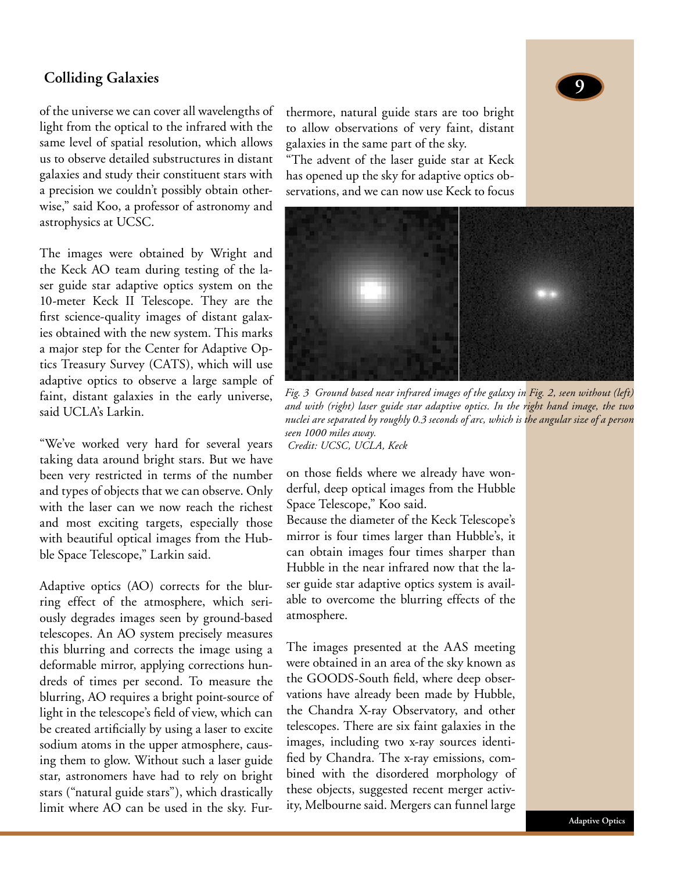## **Colliding Galaxies**

of the universe we can cover all wavelengths of light from the optical to the infrared with the same level of spatial resolution, which allows us to observe detailed substructures in distant galaxies and study their constituent stars with a precision we couldn't possibly obtain otherwise," said Koo, a professor of astronomy and astrophysics at UCSC.

The images were obtained by Wright and the Keck AO team during testing of the laser guide star adaptive optics system on the 10-meter Keck II Telescope. They are the first science-quality images of distant galaxies obtained with the new system. This marks a major step for the Center for Adaptive Optics Treasury Survey (CATS), which will use adaptive optics to observe a large sample of faint, distant galaxies in the early universe, said UCLA's Larkin.

"We've worked very hard for several years taking data around bright stars. But we have been very restricted in terms of the number and types of objects that we can observe. Only with the laser can we now reach the richest and most exciting targets, especially those with beautiful optical images from the Hubble Space Telescope," Larkin said.

Adaptive optics (AO) corrects for the blurring effect of the atmosphere, which seriously degrades images seen by ground-based telescopes. An AO system precisely measures this blurring and corrects the image using a deformable mirror, applying corrections hundreds of times per second. To measure the blurring, AO requires a bright point-source of light in the telescope's field of view, which can be created artificially by using a laser to excite sodium atoms in the upper atmosphere, causing them to glow. Without such a laser guide star, astronomers have had to rely on bright stars ("natural guide stars"), which drastically limit where AO can be used in the sky. Furthermore, natural guide stars are too bright to allow observations of very faint, distant galaxies in the same part of the sky.

"The advent of the laser guide star at Keck has opened up the sky for adaptive optics observations, and we can now use Keck to focus



*Fig. 3 Ground based near infrared images of the galaxy in Fig. 2, seen without (left) and with (right) laser guide star adaptive optics. In the right hand image, the two nuclei are separated by roughly 0.3 seconds of arc, which is the angular size of a person seen 1000 miles away. Credit: UCSC, UCLA, Keck*

on those fields where we already have wonderful, deep optical images from the Hubble Space Telescope," Koo said.

Because the diameter of the Keck Telescope's mirror is four times larger than Hubble's, it can obtain images four times sharper than Hubble in the near infrared now that the laser guide star adaptive optics system is available to overcome the blurring effects of the atmosphere.

The images presented at the AAS meeting were obtained in an area of the sky known as the GOODS-South field, where deep observations have already been made by Hubble, the Chandra X-ray Observatory, and other telescopes. There are six faint galaxies in the images, including two x-ray sources identified by Chandra. The x-ray emissions, combined with the disordered morphology of these objects, suggested recent merger activity, Melbourne said. Mergers can funnel large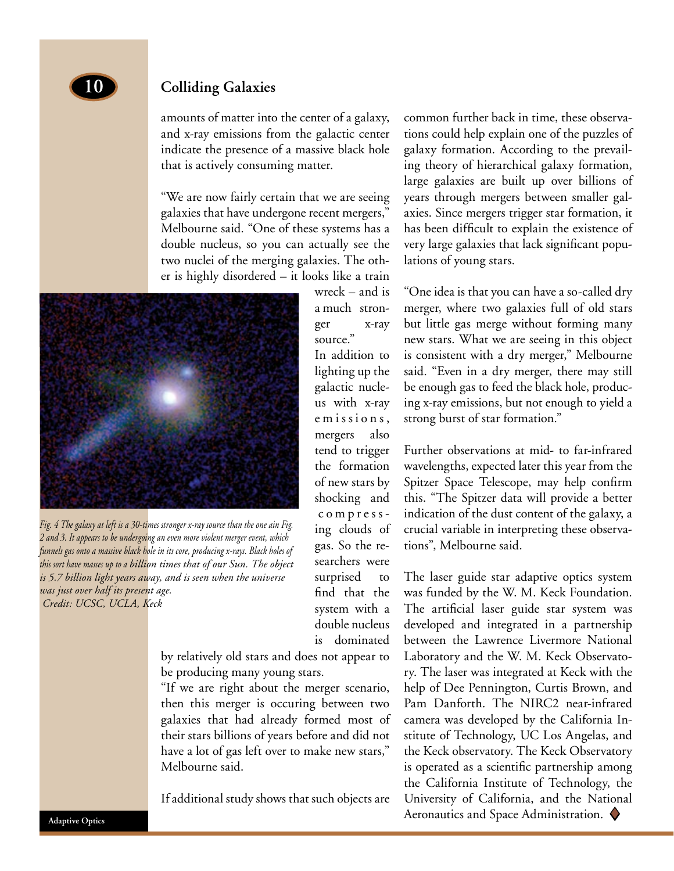

#### **Colliding Galaxies**

amounts of matter into the center of a galaxy, and x-ray emissions from the galactic center indicate the presence of a massive black hole that is actively consuming matter.

"We are now fairly certain that we are seeing galaxies that have undergone recent mergers," Melbourne said. "One of these systems has a double nucleus, so you can actually see the two nuclei of the merging galaxies. The other is highly disordered – it looks like a train



*Fig. 4 The galaxy at left is a 30-times stronger x-ray source than the one ain Fig. 2 and 3. It appears to be undergoing an even more violent merger event, which funnels gas onto a massive black hole in its core, producing x-rays. Black holes of this sort have masses up to a billion times that of our Sun. The object is 5.7 billion light years away, and is seen when the universe was just over half its present age. Credit: UCSC, UCLA, Keck*

wreck – and is a much stronger x-ray source." In addition to lighting up the galactic nucleus with x-ray emissions, mergers also tend to trigger the formation of new stars by shocking and c o m p r e s s ing clouds of gas. So the researchers were surprised to find that the system with a double nucleus is dominated

by relatively old stars and does not appear to be producing many young stars.

"If we are right about the merger scenario, then this merger is occuring between two galaxies that had already formed most of their stars billions of years before and did not have a lot of gas left over to make new stars," Melbourne said.

If additional study shows that such objects are

common further back in time, these observations could help explain one of the puzzles of galaxy formation. According to the prevailing theory of hierarchical galaxy formation, large galaxies are built up over billions of years through mergers between smaller galaxies. Since mergers trigger star formation, it has been difficult to explain the existence of very large galaxies that lack significant populations of young stars.

"One idea is that you can have a so-called dry merger, where two galaxies full of old stars but little gas merge without forming many new stars. What we are seeing in this object is consistent with a dry merger," Melbourne said. "Even in a dry merger, there may still be enough gas to feed the black hole, producing x-ray emissions, but not enough to yield a strong burst of star formation."

Further observations at mid- to far-infrared wavelengths, expected later this year from the Spitzer Space Telescope, may help confirm this. "The Spitzer data will provide a better indication of the dust content of the galaxy, a crucial variable in interpreting these observations", Melbourne said.

The laser guide star adaptive optics system was funded by the W. M. Keck Foundation. The artificial laser guide star system was developed and integrated in a partnership between the Lawrence Livermore National Laboratory and the W. M. Keck Observatory. The laser was integrated at Keck with the help of Dee Pennington, Curtis Brown, and Pam Danforth. The NIRC2 near-infrared camera was developed by the California Institute of Technology, UC Los Angelas, and the Keck observatory. The Keck Observatory is operated as a scientific partnership among the California Institute of Technology, the University of California, and the National Aeronautics and Space Administration.  $\blacklozenge$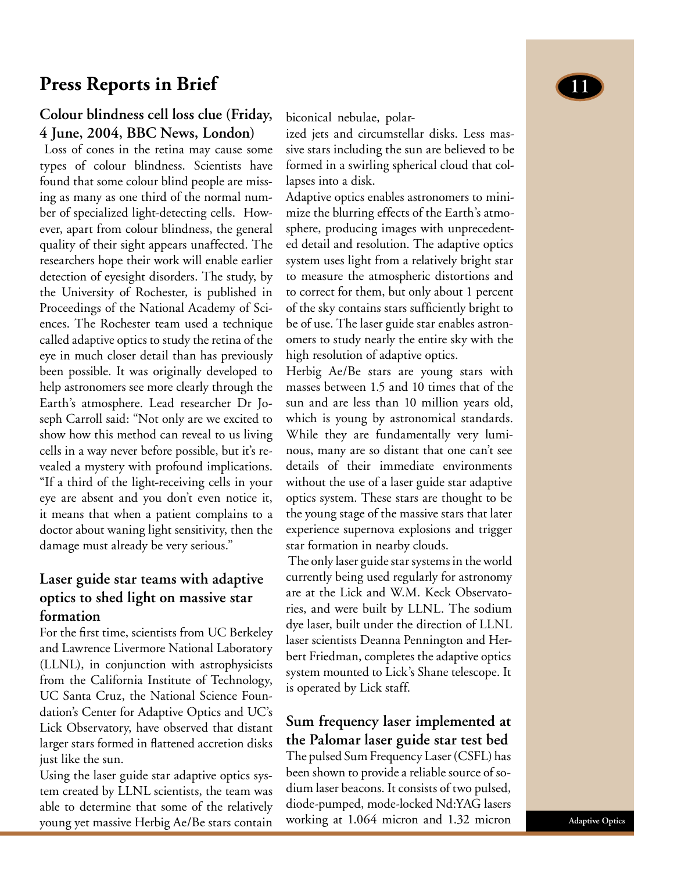## **Press Reports in Brief 11**

## **Colour blindness cell loss clue (Friday, 4 June, 2004, BBC News, London)**

 Loss of cones in the retina may cause some types of colour blindness. Scientists have found that some colour blind people are missing as many as one third of the normal number of specialized light-detecting cells. However, apart from colour blindness, the general quality of their sight appears unaffected. The researchers hope their work will enable earlier detection of eyesight disorders. The study, by the University of Rochester, is published in Proceedings of the National Academy of Sciences. The Rochester team used a technique called adaptive optics to study the retina of the eye in much closer detail than has previously been possible. It was originally developed to help astronomers see more clearly through the Earth's atmosphere. Lead researcher Dr Joseph Carroll said: "Not only are we excited to show how this method can reveal to us living cells in a way never before possible, but it's revealed a mystery with profound implications. "If a third of the light-receiving cells in your eye are absent and you don't even notice it, it means that when a patient complains to a doctor about waning light sensitivity, then the damage must already be very serious."

## **Laser guide star teams with adaptive optics to shed light on massive star formation**

For the first time, scientists from UC Berkeley and Lawrence Livermore National Laboratory (LLNL), in conjunction with astrophysicists from the California Institute of Technology, UC Santa Cruz, the National Science Foundation's Center for Adaptive Optics and UC's Lick Observatory, have observed that distant larger stars formed in flattened accretion disks just like the sun.

Using the laser guide star adaptive optics system created by LLNL scientists, the team was able to determine that some of the relatively young yet massive Herbig Ae/Be stars contain

biconical nebulae, polar-

ized jets and circumstellar disks. Less massive stars including the sun are believed to be formed in a swirling spherical cloud that collapses into a disk.

Adaptive optics enables astronomers to minimize the blurring effects of the Earth's atmosphere, producing images with unprecedented detail and resolution. The adaptive optics system uses light from a relatively bright star to measure the atmospheric distortions and to correct for them, but only about 1 percent of the sky contains stars sufficiently bright to be of use. The laser guide star enables astronomers to study nearly the entire sky with the high resolution of adaptive optics.

Herbig Ae/Be stars are young stars with masses between 1.5 and 10 times that of the sun and are less than 10 million years old, which is young by astronomical standards. While they are fundamentally very luminous, many are so distant that one can't see details of their immediate environments without the use of a laser guide star adaptive optics system. These stars are thought to be the young stage of the massive stars that later experience supernova explosions and trigger star formation in nearby clouds.

 The only laser guide star systems in the world currently being used regularly for astronomy are at the Lick and W.M. Keck Observatories, and were built by LLNL. The sodium dye laser, built under the direction of LLNL laser scientists Deanna Pennington and Herbert Friedman, completes the adaptive optics system mounted to Lick's Shane telescope. It is operated by Lick staff.

## **Sum frequency laser implemented at the Palomar laser guide star test bed**

The pulsed Sum Frequency Laser (CSFL) has been shown to provide a reliable source of sodium laser beacons. It consists of two pulsed, diode-pumped, mode-locked Nd:YAG lasers working at 1.064 micron and 1.32 micron

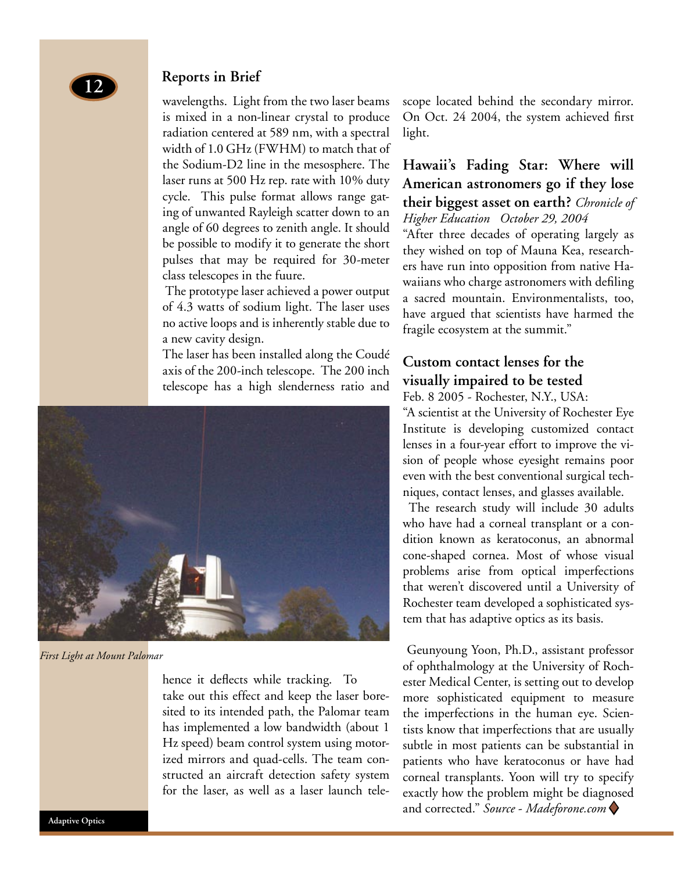

#### **Reports in Brief**

wavelengths. Light from the two laser beams is mixed in a non-linear crystal to produce radiation centered at 589 nm, with a spectral width of 1.0 GHz (FWHM) to match that of the Sodium-D2 line in the mesosphere. The laser runs at 500 Hz rep. rate with 10% duty cycle. This pulse format allows range gating of unwanted Rayleigh scatter down to an angle of 60 degrees to zenith angle. It should be possible to modify it to generate the short pulses that may be required for 30-meter class telescopes in the fuure.

 The prototype laser achieved a power output of 4.3 watts of sodium light. The laser uses no active loops and is inherently stable due to a new cavity design.

The laser has been installed along the Coudé axis of the 200-inch telescope. The 200 inch telescope has a high slenderness ratio and



*First Light at Mount Palomar*

hence it deflects while tracking. To take out this effect and keep the laser boresited to its intended path, the Palomar team has implemented a low bandwidth (about 1 Hz speed) beam control system using motorized mirrors and quad-cells. The team constructed an aircraft detection safety system for the laser, as well as a laser launch telescope located behind the secondary mirror. On Oct. 24 2004, the system achieved first light.

## **Hawaii's Fading Star: Where will American astronomers go if they lose their biggest asset on earth?** *Chronicle of Higher Education October 29, 2004*

"After three decades of operating largely as they wished on top of Mauna Kea, researchers have run into opposition from native Hawaiians who charge astronomers with defiling a sacred mountain. Environmentalists, too, have argued that scientists have harmed the fragile ecosystem at the summit."

## **Custom contact lenses for the visually impaired to be tested**

Feb. 8 2005 - Rochester, N.Y., USA:

"A scientist at the University of Rochester Eye Institute is developing customized contact lenses in a four-year effort to improve the vision of people whose eyesight remains poor even with the best conventional surgical techniques, contact lenses, and glasses available.

 The research study will include 30 adults who have had a corneal transplant or a condition known as keratoconus, an abnormal cone-shaped cornea. Most of whose visual problems arise from optical imperfections that weren't discovered until a University of Rochester team developed a sophisticated system that has adaptive optics as its basis.

 Geunyoung Yoon, Ph.D., assistant professor of ophthalmology at the University of Rochester Medical Center, is setting out to develop more sophisticated equipment to measure the imperfections in the human eye. Scientists know that imperfections that are usually subtle in most patients can be substantial in patients who have keratoconus or have had corneal transplants. Yoon will try to specify exactly how the problem might be diagnosed and corrected." *Source* - *Madeforone.com* t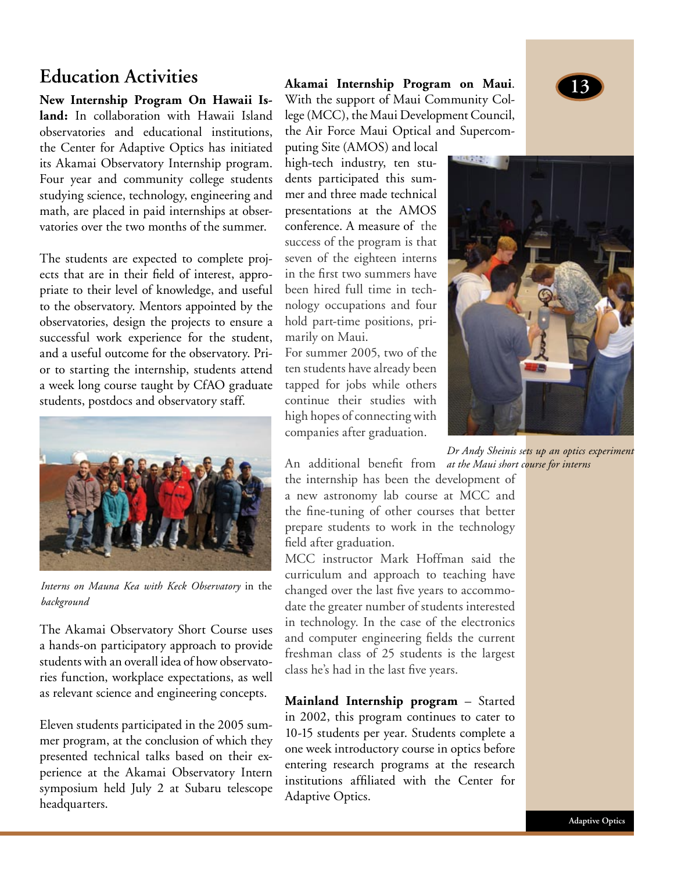**New Internship Program On Hawaii Island:** In collaboration with Hawaii Island observatories and educational institutions, the Center for Adaptive Optics has initiated its Akamai Observatory Internship program. Four year and community college students studying science, technology, engineering and math, are placed in paid internships at observatories over the two months of the summer.

The students are expected to complete projects that are in their field of interest, appropriate to their level of knowledge, and useful to the observatory. Mentors appointed by the observatories, design the projects to ensure a successful work experience for the student, and a useful outcome for the observatory. Prior to starting the internship, students attend a week long course taught by CfAO graduate students, postdocs and observatory staff.



*Interns on Mauna Kea with Keck Observatory* in the *background*

The Akamai Observatory Short Course uses a hands-on participatory approach to provide students with an overall idea of how observatories function, workplace expectations, as well as relevant science and engineering concepts.

Eleven students participated in the 2005 summer program, at the conclusion of which they presented technical talks based on their experience at the Akamai Observatory Intern symposium held July 2 at Subaru telescope headquarters.

**<sup>13</sup> Education Activities Akamai Internship Program on Maui**. With the support of Maui Community College (MCC), the Maui Development Council, the Air Force Maui Optical and Supercom-

puting Site (AMOS) and local high-tech industry, ten students participated this summer and three made technical presentations at the AMOS conference. A measure of the success of the program is that seven of the eighteen interns in the first two summers have been hired full time in technology occupations and four hold part-time positions, primarily on Maui.

For summer 2005, two of the ten students have already been tapped for jobs while others continue their studies with high hopes of connecting with companies after graduation.



An additional benefit from *at the Maui short course for internsDr Andy Sheinis sets up an optics experiment* 

the internship has been the development of a new astronomy lab course at MCC and the fine-tuning of other courses that better prepare students to work in the technology field after graduation.

MCC instructor Mark Hoffman said the curriculum and approach to teaching have changed over the last five years to accommodate the greater number of students interested in technology. In the case of the electronics and computer engineering fields the current freshman class of 25 students is the largest class he's had in the last five years.

**Mainland Internship program** – Started in 2002, this program continues to cater to 10-15 students per year. Students complete a one week introductory course in optics before entering research programs at the research institutions affiliated with the Center for Adaptive Optics.

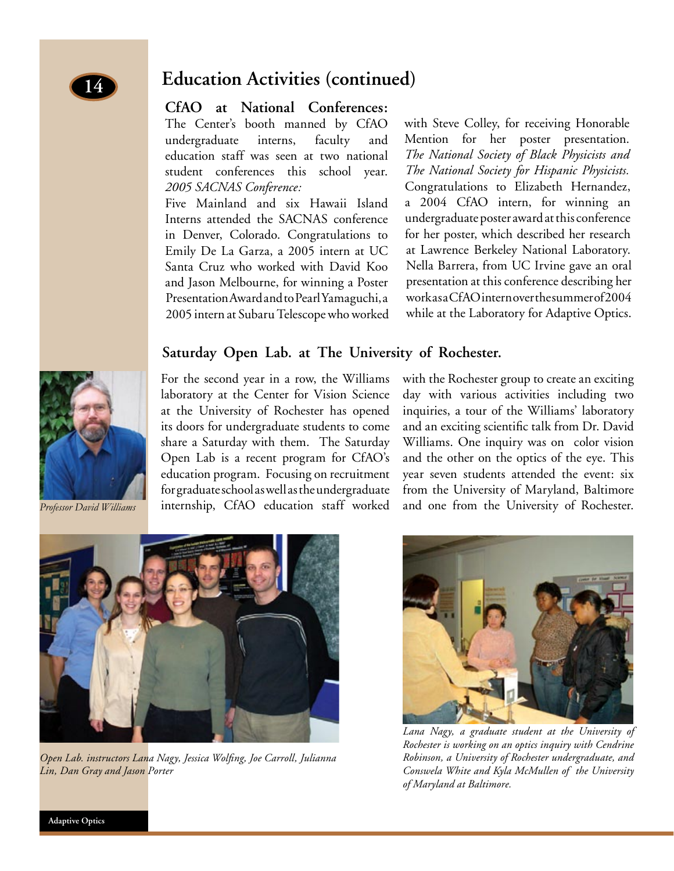## **Education Activities (continued)**

#### **CfAO at National Conferences:**

The Center's booth manned by CfAO undergraduate interns, faculty and education staff was seen at two national student conferences this school year. *2005 SACNAS Conference:*

Five Mainland and six Hawaii Island Interns attended the SACNAS conference in Denver, Colorado. Congratulations to Emily De La Garza, a 2005 intern at UC Santa Cruz who worked with David Koo and Jason Melbourne, for winning a Poster Presentation Award and to Pearl Yamaguchi, a 2005 intern at Subaru Telescope who worked with Steve Colley, for receiving Honorable Mention for her poster presentation. *The National Society of Black Physicists and The National Society for Hispanic Physicists.* Congratulations to Elizabeth Hernandez, a 2004 CfAO intern, for winning an undergraduate poster award at this conference for her poster, which described her research at Lawrence Berkeley National Laboratory. Nella Barrera, from UC Irvine gave an oral presentation at this conference describing her work as a CfAO intern over the summer of 2004 while at the Laboratory for Adaptive Optics.

## **Saturday Open Lab. at The University of Rochester.**

For the second year in a row, the Williams laboratory at the Center for Vision Science at the University of Rochester has opened its doors for undergraduate students to come share a Saturday with them. The Saturday Open Lab is a recent program for CfAO's education program. Focusing on recruitment for graduate school as well as the undergraduate internship, CfAO education staff worked

with the Rochester group to create an exciting day with various activities including two inquiries, a tour of the Williams' laboratory and an exciting scientific talk from Dr. David Williams. One inquiry was on color vision and the other on the optics of the eye. This year seven students attended the event: six from the University of Maryland, Baltimore and one from the University of Rochester.

*Lana Nagy, a graduate student at the University of Rochester is working on an optics inquiry with Cendrine Robinson, a University of Rochester undergraduate, and Conswela White and Kyla McMullen of the University of Maryland at Baltimore.*



*Open Lab. instructors Lana Nagy, Jessica Wolfing, Joe Carroll, Julianna Lin, Dan Gray and Jason Porter*





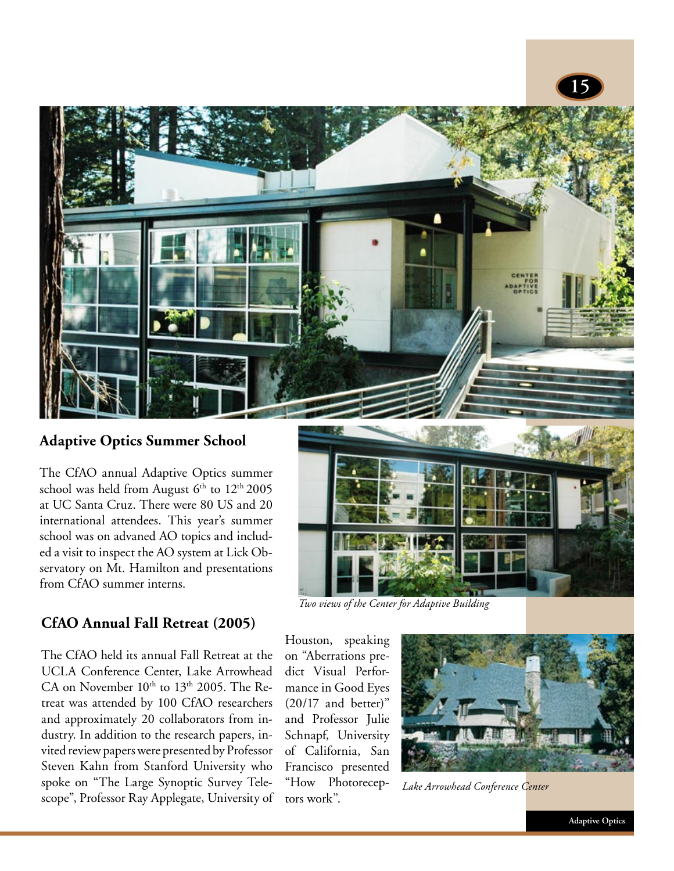

## **Adaptive Optics Summer School**

The CfAO annual Adaptive Optics summer school was held from August  $6<sup>th</sup>$  to  $12<sup>th</sup>$  2005 at UC Santa Cruz. There were 80 US and 20 international attendees. This year's summer school was on advaned AO topics and included a visit to inspect the AO system at Lick Observatory on Mt. Hamilton and presentations from CfAO summer interns.

**CfAO Annual Fall Retreat (2005)**



*Two views of the Center for Adaptive Building*

The CfAO held its annual Fall Retreat at the UCLA Conference Center, Lake Arrowhead CA on November  $10<sup>th</sup>$  to  $13<sup>th</sup>$  2005. The Retreat was attended by 100 CfAO researchers and approximately 20 collaborators from industry. In addition to the research papers, invited review papers were presented by Professor Steven Kahn from Stanford University who spoke on "The Large Synoptic Survey Telescope", Professor Ray Applegate, University of Houston, speaking on "Aberrations predict Visual Performance in Good Eyes (20/17 and better)" and Professor Julie Schnapf, University of California, San Francisco presented "How Photoreceptors work".



*Lake Arrowhead Conference Center*